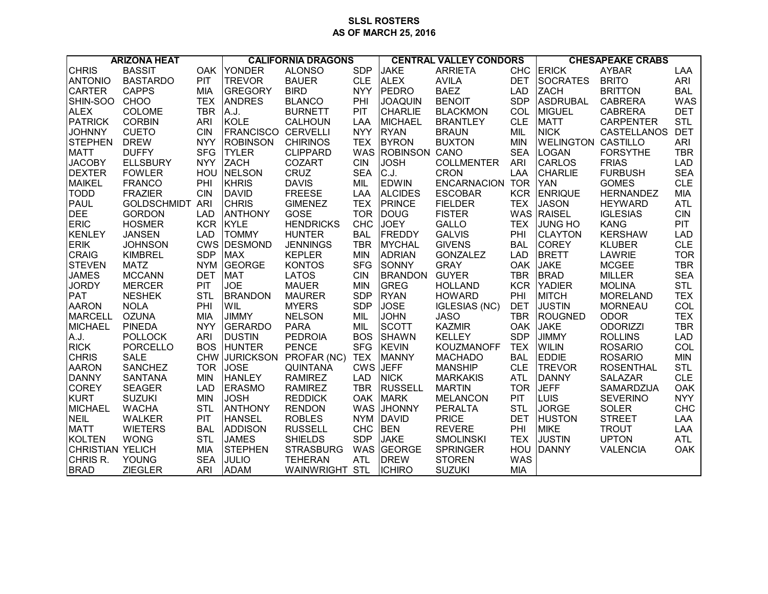## **SLSL ROSTERS AS OF MARCH 25, 2016**

| <b>ARIZONA HEAT</b> |                        | <b>CALIFORNIA DRAGONS</b> |                           |                       | <b>CENTRAL VALLEY CONDORS</b> |                   |                        | <b>CHESAPEAKE CRABS</b> |                           |                    |            |
|---------------------|------------------------|---------------------------|---------------------------|-----------------------|-------------------------------|-------------------|------------------------|-------------------------|---------------------------|--------------------|------------|
| <b>CHRIS</b>        | <b>BASSIT</b>          |                           | OAK YONDER                | <b>ALONSO</b>         | <b>SDP</b>                    | <b>JAKE</b>       | <b>ARRIETA</b>         | <b>CHC</b>              | <b>ERICK</b>              | <b>AYBAR</b>       | LAA        |
| <b>ANTONIO</b>      | <b>BASTARDO</b>        | PIT                       | <b>TREVOR</b>             | <b>BAUER</b>          | <b>CLE</b>                    | <b>ALEX</b>       | <b>AVILA</b>           | <b>DET</b>              | <b>SOCRATES</b>           | <b>BRITO</b>       | <b>ARI</b> |
| <b>CARTER</b>       | <b>CAPPS</b>           | <b>MIA</b>                | <b>GREGORY</b>            | <b>BIRD</b>           | <b>NYY</b>                    | PEDRO             | <b>BAEZ</b>            | <b>LAD</b>              | <b>ZACH</b>               | <b>BRITTON</b>     | <b>BAL</b> |
| SHIN-SOO            | CHOO                   | <b>TEX</b>                | <b>ANDRES</b>             | <b>BLANCO</b>         | PHI                           | <b>JOAQUIN</b>    | <b>BENOIT</b>          | <b>SDP</b>              | <b>ASDRUBAL</b>           | <b>CABRERA</b>     | <b>WAS</b> |
| <b>ALEX</b>         | COLOME                 | <b>TBR</b>                | A.J.                      | <b>BURNETT</b>        | <b>PIT</b>                    | <b>CHARLIE</b>    | <b>BLACKMON</b>        | COL                     | <b>MIGUEL</b>             | <b>CABRERA</b>     | <b>DET</b> |
| <b>PATRICK</b>      | <b>CORBIN</b>          | <b>ARI</b>                | KOLE                      | CALHOUN               | <b>LAA</b>                    | <b>MICHAEL</b>    | <b>BRANTLEY</b>        | <b>CLE</b>              | <b>MATT</b>               | <b>CARPENTER</b>   | <b>STL</b> |
| <b>JOHNNY</b>       | <b>CUETO</b>           | <b>CIN</b>                | <b>FRANCISCO CERVELLI</b> |                       | <b>NYY</b>                    | <b>RYAN</b>       | <b>BRAUN</b>           | MIL                     | <b>NICK</b>               | <b>CASTELLANOS</b> | <b>DET</b> |
| <b>STEPHEN</b>      | <b>DREW</b>            | <b>NYY</b>                | <b>ROBINSON</b>           | <b>CHIRINOS</b>       | <b>TEX</b>                    | <b>BYRON</b>      | <b>BUXTON</b>          | <b>MIN</b>              | <b>WELINGTON CASTILLO</b> |                    | ARI        |
| <b>MATT</b>         | <b>DUFFY</b>           | <b>SFG</b>                | <b>TYLER</b>              | <b>CLIPPARD</b>       |                               | WAS ROBINSON CANO |                        | <b>SEA</b>              | <b>LOGAN</b>              | <b>FORSYTHE</b>    | <b>TBR</b> |
| <b>JACOBY</b>       | <b>ELLSBURY</b>        | <b>NYY</b>                | <b>ZACH</b>               | COZART                | <b>CIN</b>                    | <b>JOSH</b>       | <b>COLLMENTER</b>      | <b>ARI</b>              | <b>CARLOS</b>             | <b>FRIAS</b>       | <b>LAD</b> |
| <b>DEXTER</b>       | <b>FOWLER</b>          |                           | HOU NELSON                | CRUZ                  | <b>SEA</b>                    | C.J.              | <b>CRON</b>            | LAA                     | <b>CHARLIE</b>            | <b>FURBUSH</b>     | <b>SEA</b> |
| <b>MAIKEL</b>       | <b>FRANCO</b>          | PHI                       | KHRIS                     | <b>DAVIS</b>          | MIL                           | <b>EDWIN</b>      | <b>ENCARNACION TOR</b> |                         | <b>YAN</b>                | <b>GOMES</b>       | <b>CLE</b> |
| <b>TODD</b>         | <b>FRAZIER</b>         | <b>CIN</b>                | DAVID                     | <b>FREESE</b>         | LAA                           | <b>ALCIDES</b>    | <b>ESCOBAR</b>         | <b>KCR</b>              | <b>ENRIQUE</b>            | <b>HERNANDEZ</b>   | <b>MIA</b> |
| PAUL                | <b>GOLDSCHMIDT ARI</b> |                           | <b>CHRIS</b>              | <b>GIMENEZ</b>        | <b>TEX</b>                    | <b>PRINCE</b>     | <b>FIELDER</b>         | <b>TEX</b>              | <b>JASON</b>              | <b>HEYWARD</b>     | <b>ATL</b> |
| <b>DEE</b>          | <b>GORDON</b>          | <b>LAD</b>                | <b>ANTHONY</b>            | GOSE                  | <b>TOR</b>                    | DOUG              | <b>FISTER</b>          | WAS                     | <b>RAISEL</b>             | <b>IGLESIAS</b>    | <b>CIN</b> |
| <b>ERIC</b>         | <b>HOSMER</b>          | <b>KCR</b>                | KYLE                      | <b>HENDRICKS</b>      | <b>CHC</b>                    | <b>JOEY</b>       | GALLO                  | <b>TEX</b>              | <b>JUNG HO</b>            | <b>KANG</b>        | <b>PIT</b> |
| <b>KENLEY</b>       | <b>JANSEN</b>          | <b>LAD</b>                | <b>TOMMY</b>              | <b>HUNTER</b>         | <b>BAL</b>                    | <b>FREDDY</b>     | <b>GALVIS</b>          | PHI                     | <b>CLAYTON</b>            | <b>KERSHAW</b>     | <b>LAD</b> |
| <b>ERIK</b>         | <b>JOHNSON</b>         |                           | CWS DESMOND               | <b>JENNINGS</b>       | <b>TBR</b>                    | <b>MYCHAL</b>     | <b>GIVENS</b>          | <b>BAL</b>              | <b>COREY</b>              | <b>KLUBER</b>      | <b>CLE</b> |
| <b>CRAIG</b>        | <b>KIMBREL</b>         | <b>SDP</b>                | <b>MAX</b>                | <b>KEPLER</b>         | <b>MIN</b>                    | <b>ADRIAN</b>     | <b>GONZALEZ</b>        | <b>LAD</b>              | <b>BRETT</b>              | LAWRIE             | <b>TOR</b> |
| <b>STEVEN</b>       | <b>MATZ</b>            | <b>NYM</b>                | GEORGE                    | <b>KONTOS</b>         | <b>SFG</b>                    | SONNY             | <b>GRAY</b>            | <b>OAK</b>              | <b>JAKE</b>               | <b>MCGEE</b>       | <b>TBR</b> |
| <b>JAMES</b>        | <b>MCCANN</b>          | <b>DET</b>                | <b>MAT</b>                | <b>LATOS</b>          | <b>CIN</b>                    | <b>BRANDON</b>    | <b>GUYER</b>           | <b>TBR</b>              | <b>BRAD</b>               | <b>MILLER</b>      | <b>SEA</b> |
| <b>JORDY</b>        | <b>MERCER</b>          | PIT                       | <b>JOE</b>                | <b>MAUER</b>          | <b>MIN</b>                    | GREG              | <b>HOLLAND</b>         | <b>KCR</b>              | <b>YADIER</b>             | <b>MOLINA</b>      | <b>STL</b> |
| <b>PAT</b>          | <b>NESHEK</b>          | STL                       | <b>BRANDON</b>            | <b>MAURER</b>         | <b>SDP</b>                    | <b>RYAN</b>       | <b>HOWARD</b>          | PHI                     | <b>MITCH</b>              | <b>MORELAND</b>    | <b>TEX</b> |
| <b>AARON</b>        | <b>NOLA</b>            | PHI                       | WIL                       | <b>MYERS</b>          | <b>SDP</b>                    | <b>JOSE</b>       | <b>IGLESIAS (NC)</b>   | <b>DET</b>              | <b>JUSTIN</b>             | <b>MORNEAU</b>     | COL        |
| <b>MARCELL</b>      | <b>OZUNA</b>           | <b>MIA</b>                | <b>JIMMY</b>              | <b>NELSON</b>         | MIL                           | <b>JOHN</b>       | <b>JASO</b>            | <b>TBR</b>              | <b>ROUGNED</b>            | <b>ODOR</b>        | <b>TEX</b> |
| <b>MICHAEL</b>      | <b>PINEDA</b>          | <b>NYY</b>                | <b>GERARDO</b>            | <b>PARA</b>           | MIL                           | <b>SCOTT</b>      | <b>KAZMIR</b>          | OAK                     | <b>JAKE</b>               | <b>ODORIZZI</b>    | <b>TBR</b> |
| A.J.                | <b>POLLOCK</b>         | <b>ARI</b>                | <b>DUSTIN</b>             | <b>PEDROIA</b>        | <b>BOS</b>                    | <b>SHAWN</b>      | <b>KELLEY</b>          | <b>SDP</b>              | <b>JIMMY</b>              | <b>ROLLINS</b>     | <b>LAD</b> |
| <b>RICK</b>         | <b>PORCELLO</b>        | <b>BOS</b>                | <b>HUNTER</b>             | <b>PENCE</b>          | <b>SFG</b>                    | <b>KEVIN</b>      | <b>KOUZMANOFF</b>      | <b>TEX</b>              | <b>WILIN</b>              | <b>ROSARIO</b>     | COL        |
| <b>CHRIS</b>        | <b>SALE</b>            |                           | <b>CHW JURICKSON</b>      | PROFAR (NC)           | <b>TEX</b>                    | <b>MANNY</b>      | <b>MACHADO</b>         | <b>BAL</b>              | <b>EDDIE</b>              | <b>ROSARIO</b>     | <b>MIN</b> |
| <b>AARON</b>        | <b>SANCHEZ</b>         | <b>TOR</b>                | <b>JOSE</b>               | <b>QUINTANA</b>       |                               | CWS JEFF          | <b>MANSHIP</b>         | <b>CLE</b>              | <b>TREVOR</b>             | <b>ROSENTHAL</b>   | <b>STL</b> |
| DANNY               | SANTANA                | <b>MIN</b>                | <b>HANLEY</b>             | <b>RAMIREZ</b>        | <b>LAD</b>                    | <b>NICK</b>       | <b>MARKAKIS</b>        | <b>ATL</b>              | <b>DANNY</b>              | SALAZAR            | <b>CLE</b> |
| <b>COREY</b>        | <b>SEAGER</b>          | <b>LAD</b>                | <b>ERASMO</b>             | <b>RAMIREZ</b>        | <b>TBR</b>                    | <b>RUSSELL</b>    | <b>MARTIN</b>          | <b>TOR</b>              | <b>JEFF</b>               | SAMARDZIJA         | <b>OAK</b> |
| <b>KURT</b>         | <b>SUZUKI</b>          | <b>MIN</b>                | <b>JOSH</b>               | <b>REDDICK</b>        |                               | OAK MARK          | <b>MELANCON</b>        | <b>PIT</b>              | <b>LUIS</b>               | <b>SEVERINO</b>    | <b>NYY</b> |
| <b>MICHAEL</b>      | <b>WACHA</b>           | <b>STL</b>                | <b>ANTHONY</b>            | <b>RENDON</b>         |                               | WAS JHONNY        | <b>PERALTA</b>         | <b>STL</b>              | <b>JORGE</b>              | <b>SOLER</b>       | <b>CHC</b> |
| <b>NEIL</b>         | <b>WALKER</b>          | PIT                       | <b>HANSEL</b>             | <b>ROBLES</b>         | <b>NYM</b>                    | DAVID             | <b>PRICE</b>           | <b>DET</b>              | <b>HUSTON</b>             | <b>STREET</b>      | LAA        |
| <b>MATT</b>         | <b>WIETERS</b>         | <b>BAL</b>                | <b>ADDISON</b>            | <b>RUSSELL</b>        | <b>CHC</b>                    | <b>BEN</b>        | <b>REVERE</b>          | PHI                     | <b>MIKE</b>               | <b>TROUT</b>       | LAA        |
| KOLTEN              | <b>WONG</b>            | <b>STL</b>                | <b>JAMES</b>              | <b>SHIELDS</b>        | <b>SDP</b>                    | <b>JAKE</b>       | <b>SMOLINSKI</b>       | <b>TEX</b>              | <b>JUSTIN</b>             | <b>UPTON</b>       | <b>ATL</b> |
| CHRISTIAN YELICH    |                        | <b>MIA</b>                | <b>STEPHEN</b>            | <b>STRASBURG</b>      |                               | WAS GEORGE        | <b>SPRINGER</b>        | HOU                     | <b>DANNY</b>              | <b>VALENCIA</b>    | <b>OAK</b> |
| CHRIS R.            | YOUNG                  | <b>SEA</b>                | <b>JULIO</b>              | <b>TEHERAN</b>        | <b>ATL</b>                    | <b>DREW</b>       | <b>STOREN</b>          | WAS                     |                           |                    |            |
| <b>BRAD</b>         | <b>ZIEGLER</b>         | <b>ARI</b>                | <b>ADAM</b>               | <b>WAINWRIGHT STL</b> |                               | <b>ICHIRO</b>     | <b>SUZUKI</b>          | <b>MIA</b>              |                           |                    |            |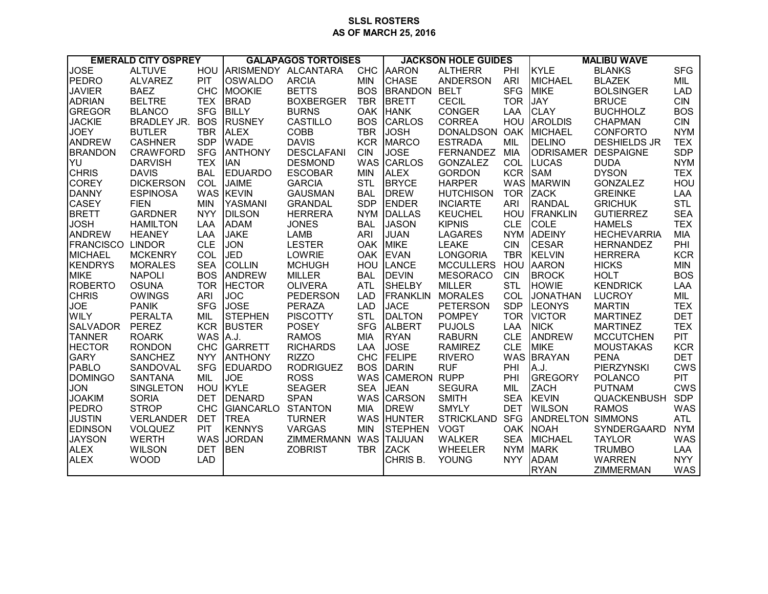## **SLSL ROSTERS AS OF MARCH 25, 2016**

| <b>EMERALD CITY OSPREY</b> |                    | <b>GALAPAGOS TORTOISES</b> |                     |                   | <b>JACKSON HOLE GUIDES</b> |                 |                   | <b>MALIBU WAVE</b> |                  |                     |            |
|----------------------------|--------------------|----------------------------|---------------------|-------------------|----------------------------|-----------------|-------------------|--------------------|------------------|---------------------|------------|
| <b>JOSE</b>                | <b>ALTUVE</b>      | <b>HOU</b>                 | ARISMENDY ALCANTARA |                   | <b>CHC</b>                 | <b>AARON</b>    | <b>ALTHERR</b>    | PHI                | <b>KYLE</b>      | <b>BLANKS</b>       | <b>SFG</b> |
| PEDRO                      | <b>ALVAREZ</b>     | PIT                        | <b>OSWALDO</b>      | <b>ARCIA</b>      | <b>MIN</b>                 | <b>CHASE</b>    | <b>ANDERSON</b>   | <b>ARI</b>         | <b>MICHAEL</b>   | <b>BLAZEK</b>       | MIL        |
| <b>JAVIER</b>              | <b>BAEZ</b>        | CHC                        | <b>MOOKIE</b>       | <b>BETTS</b>      | <b>BOS</b>                 | <b>BRANDON</b>  | <b>BELT</b>       | <b>SFG</b>         | <b>MIKE</b>      | <b>BOLSINGER</b>    | <b>LAD</b> |
| <b>ADRIAN</b>              | <b>BELTRE</b>      | <b>TEX</b>                 | <b>BRAD</b>         | <b>BOXBERGER</b>  | <b>TBR</b>                 | <b>BRETT</b>    | <b>CECIL</b>      | <b>TOR</b>         | <b>JAY</b>       | <b>BRUCE</b>        | <b>CIN</b> |
| <b>GREGOR</b>              | <b>BLANCO</b>      | <b>SFG</b>                 | <b>BILLY</b>        | <b>BURNS</b>      | <b>OAK</b>                 | <b>HANK</b>     | <b>CONGER</b>     | LAA                | <b>CLAY</b>      | <b>BUCHHOLZ</b>     | <b>BOS</b> |
| <b>JACKIE</b>              | <b>BRADLEY JR.</b> | <b>BOS</b>                 | <b>RUSNEY</b>       | CASTILLO          | <b>BOS</b>                 | <b>CARLOS</b>   | <b>CORREA</b>     | HOU                | <b>AROLDIS</b>   | <b>CHAPMAN</b>      | <b>CIN</b> |
| <b>JOEY</b>                | <b>BUTLER</b>      | <b>TBR</b>                 | <b>ALEX</b>         | <b>COBB</b>       | <b>TBR</b>                 | <b>JOSH</b>     | <b>DONALDSON</b>  | OAK                | <b>MICHAEL</b>   | <b>CONFORTO</b>     | <b>NYM</b> |
| <b>ANDREW</b>              | <b>CASHNER</b>     | <b>SDP</b>                 | <b>WADE</b>         | <b>DAVIS</b>      | <b>KCR</b>                 | <b>MARCO</b>    | <b>ESTRADA</b>    | <b>MIL</b>         | <b>DELINO</b>    | <b>DESHIELDS JR</b> | <b>TEX</b> |
| <b>BRANDON</b>             | <b>CRAWFORD</b>    | <b>SFG</b>                 | <b>ANTHONY</b>      | <b>DESCLAFANI</b> | <b>CIN</b>                 | <b>JOSE</b>     | <b>FERNANDEZ</b>  | <b>MIA</b>         | <b>ODRISAMER</b> | <b>DESPAIGNE</b>    | <b>SDP</b> |
| YU                         | <b>DARVISH</b>     | <b>TEX</b>                 | <b>IAN</b>          | <b>DESMOND</b>    | <b>WAS</b>                 | <b>CARLOS</b>   | <b>GONZALEZ</b>   | <b>COL</b>         | <b>LUCAS</b>     | <b>DUDA</b>         | <b>NYM</b> |
| <b>CHRIS</b>               | <b>DAVIS</b>       | <b>BAL</b>                 | <b>EDUARDO</b>      | <b>ESCOBAR</b>    | <b>MIN</b>                 | <b>ALEX</b>     | <b>GORDON</b>     | <b>KCR</b>         | <b>SAM</b>       | <b>DYSON</b>        | <b>TEX</b> |
| <b>COREY</b>               | <b>DICKERSON</b>   | COL                        | <b>JAIME</b>        | <b>GARCIA</b>     | <b>STL</b>                 | <b>BRYCE</b>    | <b>HARPER</b>     | <b>WAS</b>         | <b>MARWIN</b>    | <b>GONZALEZ</b>     | HOU        |
| <b>DANNY</b>               | <b>ESPINOSA</b>    |                            | WAS KEVIN           | <b>GAUSMAN</b>    | <b>BAL</b>                 | <b>DREW</b>     | <b>HUTCHISON</b>  | <b>TOR</b>         | <b>ZACK</b>      | <b>GREINKE</b>      | LAA        |
| <b>CASEY</b>               | <b>FIEN</b>        | <b>MIN</b>                 | <b>YASMANI</b>      | <b>GRANDAL</b>    | <b>SDP</b>                 | <b>ENDER</b>    | <b>INCIARTE</b>   | ARI                | <b>RANDAL</b>    | <b>GRICHUK</b>      | <b>STL</b> |
| <b>BRETT</b>               | <b>GARDNER</b>     | <b>NYY</b>                 | <b>DILSON</b>       | <b>HERRERA</b>    | <b>NYM</b>                 | <b>IDALLAS</b>  | <b>KEUCHEL</b>    | <b>HOU</b>         | <b>FRANKLIN</b>  | <b>GUTIERREZ</b>    | <b>SEA</b> |
| <b>JOSH</b>                | <b>HAMILTON</b>    | LAA                        | <b>ADAM</b>         | <b>JONES</b>      | <b>BAL</b>                 | <b>JASON</b>    | <b>KIPNIS</b>     | <b>CLE</b>         | <b>COLE</b>      | <b>HAMELS</b>       | <b>TEX</b> |
| ANDREW                     | <b>HEANEY</b>      | LAA                        | <b>JAKE</b>         | <b>LAMB</b>       | <b>ARI</b>                 | <b>JUAN</b>     | <b>LAGARES</b>    | <b>NYM</b>         | <b>ADEINY</b>    | <b>HECHEVARRIA</b>  | <b>MIA</b> |
| <b>FRANCISCO</b>           | <b>LINDOR</b>      | <b>CLE</b>                 | <b>JON</b>          | <b>LESTER</b>     | <b>OAK</b>                 | <b>MIKE</b>     | <b>LEAKE</b>      | <b>CIN</b>         | <b>CESAR</b>     | <b>HERNANDEZ</b>    | PHI        |
| <b>MICHAEL</b>             | <b>MCKENRY</b>     | COL                        | <b>JED</b>          | LOWRIE            | <b>OAK</b>                 | <b>EVAN</b>     | <b>LONGORIA</b>   | <b>TBR</b>         | <b>KELVIN</b>    | <b>HERRERA</b>      | <b>KCR</b> |
| <b>KENDRYS</b>             | <b>MORALES</b>     | <b>SEA</b>                 | <b>COLLIN</b>       | <b>MCHUGH</b>     | HOU                        | <b>LANCE</b>    | <b>MCCULLERS</b>  | HOU                | <b>AARON</b>     | <b>HICKS</b>        | <b>MIN</b> |
| <b>MIKE</b>                | <b>NAPOLI</b>      | <b>BOS</b>                 | <b>ANDREW</b>       | <b>MILLER</b>     | <b>BAL</b>                 | <b>DEVIN</b>    | <b>MESORACO</b>   | <b>CIN</b>         | <b>BROCK</b>     | <b>HOLT</b>         | <b>BOS</b> |
| <b>ROBERTO</b>             | <b>OSUNA</b>       | <b>TOR</b>                 | <b>HECTOR</b>       | <b>OLIVERA</b>    | <b>ATL</b>                 | <b>SHELBY</b>   | <b>MILLER</b>     | <b>STL</b>         | <b>HOWIE</b>     | <b>KENDRICK</b>     | LAA        |
| <b>CHRIS</b>               | <b>OWINGS</b>      | <b>ARI</b>                 | <b>JOC</b>          | <b>PEDERSON</b>   | <b>LAD</b>                 | <b>FRANKLIN</b> | <b>MORALES</b>    | COL                | <b>JONATHAN</b>  | <b>LUCROY</b>       | MIL        |
| <b>JOE</b>                 | <b>PANIK</b>       | <b>SFG</b>                 | <b>JOSE</b>         | <b>PERAZA</b>     | LAD                        | <b>JACE</b>     | <b>PETERSON</b>   | <b>SDP</b>         | LEONYS           | <b>MARTIN</b>       | <b>TEX</b> |
| <b>WILY</b>                | <b>PERALTA</b>     | MIL                        | STEPHEN             | <b>PISCOTTY</b>   | <b>STL</b>                 | DALTON          | <b>POMPEY</b>     | <b>TOR</b>         | <b>VICTOR</b>    | <b>MARTINEZ</b>     | <b>DET</b> |
| SALVADOR                   | <b>PEREZ</b>       | <b>KCR</b>                 | <b>BUSTER</b>       | <b>POSEY</b>      | <b>SFG</b>                 | ALBERT          | <b>PUJOLS</b>     | LAA                | <b>NICK</b>      | <b>MARTINEZ</b>     | <b>TEX</b> |
| <b>TANNER</b>              | <b>ROARK</b>       | <b>WAS</b>                 | A.J.                | <b>RAMOS</b>      | <b>MIA</b>                 | <b>RYAN</b>     | <b>RABURN</b>     | <b>CLE</b>         | <b>ANDREW</b>    | <b>MCCUTCHEN</b>    | <b>PIT</b> |
| <b>HECTOR</b>              | <b>RONDON</b>      | <b>CHC</b>                 | GARRETT             | <b>RICHARDS</b>   | LAA                        | <b>JOSE</b>     | <b>RAMIREZ</b>    | <b>CLE</b>         | <b>MIKE</b>      | <b>MOUSTAKAS</b>    | <b>KCR</b> |
| <b>GARY</b>                | <b>SANCHEZ</b>     | <b>NYY</b>                 | <b>ANTHONY</b>      | <b>RIZZO</b>      | <b>CHC</b>                 | <b>FELIPE</b>   | <b>RIVERO</b>     | <b>WAS</b>         | <b>BRAYAN</b>    | <b>PENA</b>         | <b>DET</b> |
| <b>PABLO</b>               | SANDOVAL           | <b>SFG</b>                 | <b>EDUARDO</b>      | <b>RODRIGUEZ</b>  | <b>BOS</b>                 | <b>DARIN</b>    | <b>RUF</b>        | PHI                | A.J.             | PIERZYNSKI          | <b>CWS</b> |
| <b>DOMINGO</b>             | <b>SANTANA</b>     | MIL                        | <b>JOE</b>          | <b>ROSS</b>       | <b>WAS</b>                 | <b>CAMERON</b>  | <b>RUPP</b>       | PHI                | <b>GREGORY</b>   | <b>POLANCO</b>      | <b>PIT</b> |
| <b>JON</b>                 | <b>SINGLETON</b>   | HOU                        | <b>KYLE</b>         | <b>SEAGER</b>     | <b>SEA</b>                 | <b>JEAN</b>     | <b>SEGURA</b>     | MIL                | ZACH             | <b>PUTNAM</b>       | <b>CWS</b> |
| <b>JOAKIM</b>              | <b>SORIA</b>       | <b>DET</b>                 | DENARD              | <b>SPAN</b>       |                            | WAS CARSON      | <b>SMITH</b>      | <b>SEA</b>         | <b>KEVIN</b>     | QUACKENBUSH         | <b>SDP</b> |
| <b>PEDRO</b>               | <b>STROP</b>       | <b>CHC</b>                 | <b>GIANCARLO</b>    | <b>STANTON</b>    | <b>MIA</b>                 | <b>DREW</b>     | <b>SMYLY</b>      | <b>DET</b>         | <b>WILSON</b>    | <b>RAMOS</b>        | <b>WAS</b> |
| <b>JUSTIN</b>              | <b>VERLANDER</b>   | <b>DET</b>                 | <b>TREA</b>         | <b>TURNER</b>     | WAS                        | <b>HUNTER</b>   | <b>STRICKLAND</b> | <b>SFG</b>         | <b>ANDRELTON</b> | <b>SIMMONS</b>      | ATL        |
| <b>EDINSON</b>             | VOLQUEZ            | PIT                        | <b>KENNYS</b>       | <b>VARGAS</b>     | <b>MIN</b>                 | <b>STEPHEN</b>  | <b>VOGT</b>       | <b>OAK</b>         | <b>NOAH</b>      | SYNDERGAARD         | <b>NYM</b> |
| <b>JAYSON</b>              | <b>WERTH</b>       | <b>WAS</b>                 | <b>JORDAN</b>       | <b>ZIMMERMANN</b> | WAS                        | <b>TAIJUAN</b>  | <b>WALKER</b>     | <b>SEA</b>         | <b>MICHAEL</b>   | <b>TAYLOR</b>       | <b>WAS</b> |
| <b>ALEX</b>                | <b>WILSON</b>      | <b>DET</b>                 | <b>BEN</b>          | <b>ZOBRIST</b>    | TBR                        | <b>ZACK</b>     | <b>WHEELER</b>    | <b>NYM</b>         | <b>MARK</b>      | <b>TRUMBO</b>       | LAA        |
| <b>ALEX</b>                | <b>WOOD</b>        | <b>LAD</b>                 |                     |                   |                            | CHRIS B.        | YOUNG             | <b>NYY</b>         | <b>ADAM</b>      | <b>WARREN</b>       | <b>NYY</b> |
|                            |                    |                            |                     |                   |                            |                 |                   |                    | <b>RYAN</b>      | <b>ZIMMERMAN</b>    | <b>WAS</b> |